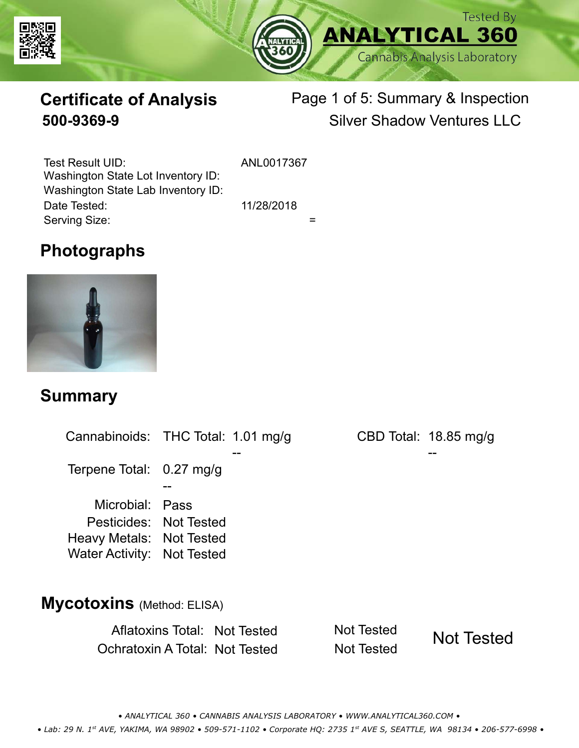



# **Certificate of Analysis**

# Page 1 of 5: Summary & Inspection **500-9369-9** Silver Shadow Ventures LLC

Serving Size:  $=$ Test Result UID: ANL0017367 Date Tested: 11/28/2018 Washington State Lot Inventory ID: Washington State Lab Inventory ID:

### **Photographs**



#### **Summary**

Cannabinoids: THC Total: 1.01 mg/g Terpene Total: 0.27 mg/g Microbial: Pass CBD Total: 18.85 mg/g Pesticides: Not Tested Heavy Metals: Not Tested -- -- -- Water Activity: Not Tested **Mycotoxins** (Method: ELISA)

> Aflatoxins Total: Not Tested Not Tested Ochratoxin A Total: Not Tested Not Tested Not Tested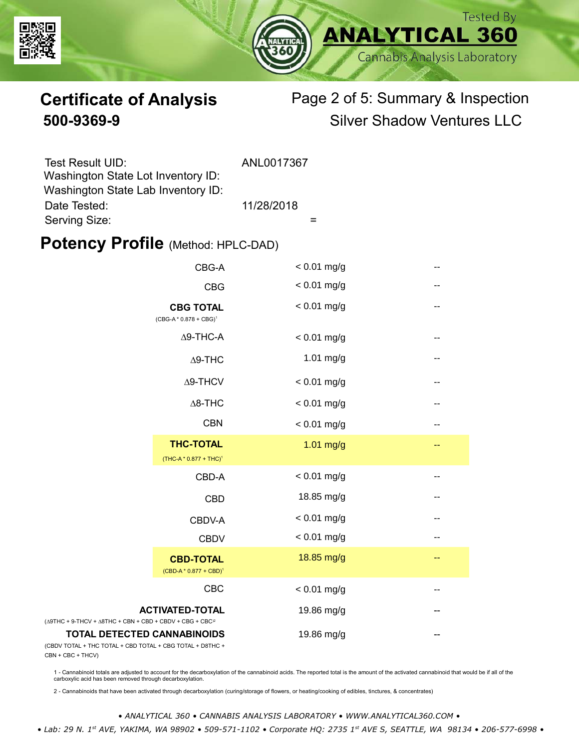



# **Certificate of Analysis** Page 2 of 5: Summary & Inspection **500-9369-9** Silver Shadow Ventures LLC

| Test Result UID:                   | ANL0017367 |
|------------------------------------|------------|
| Washington State Lot Inventory ID: |            |
| Washington State Lab Inventory ID: |            |
| Date Tested:                       | 11/28/2018 |
| Serving Size:                      |            |

#### **Potency Profile (Method: HPLC-DAD)**

|                                                                                           | CBG-A                                                  | $< 0.01$ mg/g | --                       |
|-------------------------------------------------------------------------------------------|--------------------------------------------------------|---------------|--------------------------|
|                                                                                           | <b>CBG</b>                                             | $< 0.01$ mg/g | --                       |
|                                                                                           | <b>CBG TOTAL</b><br>$(CBG-A * 0.878 + CBG)^1$          | $< 0.01$ mg/g | $-$                      |
|                                                                                           | $\Delta$ 9-THC-A                                       | $< 0.01$ mg/g | $\overline{\phantom{m}}$ |
|                                                                                           | $\Delta$ 9-THC                                         | $1.01$ mg/g   | --                       |
|                                                                                           | Δ9-THCV                                                | $< 0.01$ mg/g | --                       |
|                                                                                           | $\Delta$ 8-THC                                         | $< 0.01$ mg/g | --                       |
|                                                                                           | <b>CBN</b>                                             | $< 0.01$ mg/g | --                       |
|                                                                                           | <b>THC-TOTAL</b><br>(THC-A * 0.877 + THC) <sup>1</sup> | $1.01$ mg/g   | --                       |
|                                                                                           | CBD-A                                                  | $< 0.01$ mg/g | --                       |
|                                                                                           | <b>CBD</b>                                             | 18.85 mg/g    | --                       |
|                                                                                           | CBDV-A                                                 | $< 0.01$ mg/g | --                       |
|                                                                                           | <b>CBDV</b>                                            | $< 0.01$ mg/g | --                       |
|                                                                                           | <b>CBD-TOTAL</b><br>$(CBD-A * 0.877 + CBD)^1$          | 18.85 mg/g    | --                       |
|                                                                                           | <b>CBC</b>                                             | $< 0.01$ mg/g |                          |
| + 9-THCV + $\triangle$ 8THC + CBN + CBD + CBDV + CBG + CBC <sup><math>/2</math></sup>     | <b>ACTIVATED-TOTAL</b>                                 | 19.86 mg/g    |                          |
| <b>TOTAL DETECTED CANNABINOIDS</b><br>TOTAL + THC TOTAL + CBD TOTAL + CBG TOTAL + D8THC + |                                                        | 19.86 mg/g    |                          |

(CBDV TOTAL + THC TOTAL CBN + CBC + THCV)

(∆9THC + 9-THCV + ∆8THC

1 - Cannabinoid totals are adjusted to account for the decarboxylation of the cannabinoid acids. The reported total is the amount of the activated cannabinoid that would be if all of the<br>carboxylic acid has been removed th

2 - Cannabinoids that have been activated through decarboxylation (curing/storage of flowers, or heating/cooking of edibles, tinctures, & concentrates)

*• ANALYTICAL 360 • CANNABIS ANALYSIS LABORATORY • WWW.ANALYTICAL360.COM •*

 *• Lab: 29 N. 1st AVE, YAKIMA, WA 98902 • 509-571-1102 • Corporate HQ: 2735 1st AVE S, SEATTLE, WA 98134 • 206-577-6998 •*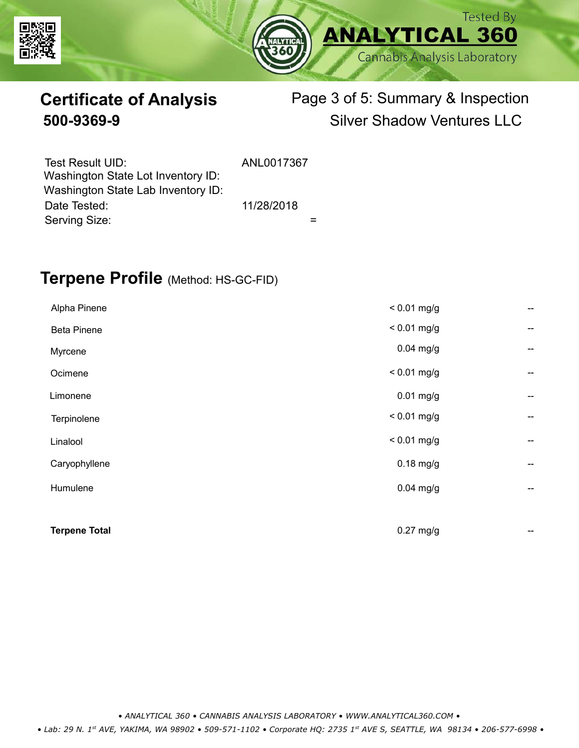



# **Certificate of Analysis** Page 3 of 5: Summary & Inspection **500-9369-9** Silver Shadow Ventures LLC

| Test Result UID:<br>Washington State Lot Inventory ID: | ANL0017367 |  |
|--------------------------------------------------------|------------|--|
| Washington State Lab Inventory ID:                     |            |  |
| Date Tested:                                           | 11/28/2018 |  |
| Serving Size:                                          |            |  |

### **Terpene Profile** (Method: HS-GC-FID)

| Alpha Pinene         | $< 0.01$ mg/g | --                       |
|----------------------|---------------|--------------------------|
| <b>Beta Pinene</b>   | $< 0.01$ mg/g | --                       |
| Myrcene              | $0.04$ mg/g   | --                       |
| Ocimene              | $< 0.01$ mg/g | --                       |
| Limonene             | $0.01$ mg/g   | --                       |
| Terpinolene          | $< 0.01$ mg/g | --                       |
| Linalool             | $< 0.01$ mg/g | --                       |
| Caryophyllene        | $0.18$ mg/g   | $\overline{\phantom{a}}$ |
| Humulene             | $0.04$ mg/g   | --                       |
|                      |               |                          |
| <b>Terpene Total</b> | $0.27$ mg/g   | --                       |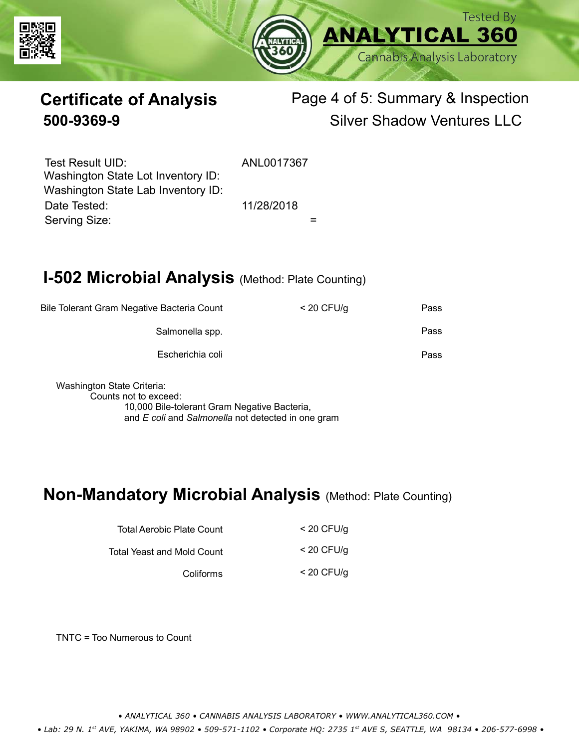



# **Certificate of Analysis** Page 4 of 5: Summary & Inspection **500-9369-9** Silver Shadow Ventures LLC

Serving Size:  $=$ Test Result UID: ANL0017367 Date Tested: 11/28/2018 Washington State Lot Inventory ID: Washington State Lab Inventory ID:

## **I-502 Microbial Analysis (Method: Plate Counting)**

| Pass | $<$ 20 CFU/g | Bile Tolerant Gram Negative Bacteria Count |
|------|--------------|--------------------------------------------|
| Pass |              | Salmonella spp.                            |
| Pass |              | Escherichia coli                           |
|      |              |                                            |

Washington State Criteria: Counts not to exceed: 10,000 Bile-tolerant Gram Negative Bacteria, and *E coli* and *Salmonella* not detected in one gram

#### **Non-Mandatory Microbial Analysis** (Method: Plate Counting)

| Total Aerobic Plate Count  | $<$ 20 CFU/g |
|----------------------------|--------------|
| Total Yeast and Mold Count | $<$ 20 CFU/g |
| Coliforms                  | $<$ 20 CFU/g |

TNTC = Too Numerous to Count

*• ANALYTICAL 360 • CANNABIS ANALYSIS LABORATORY • WWW.ANALYTICAL360.COM •*